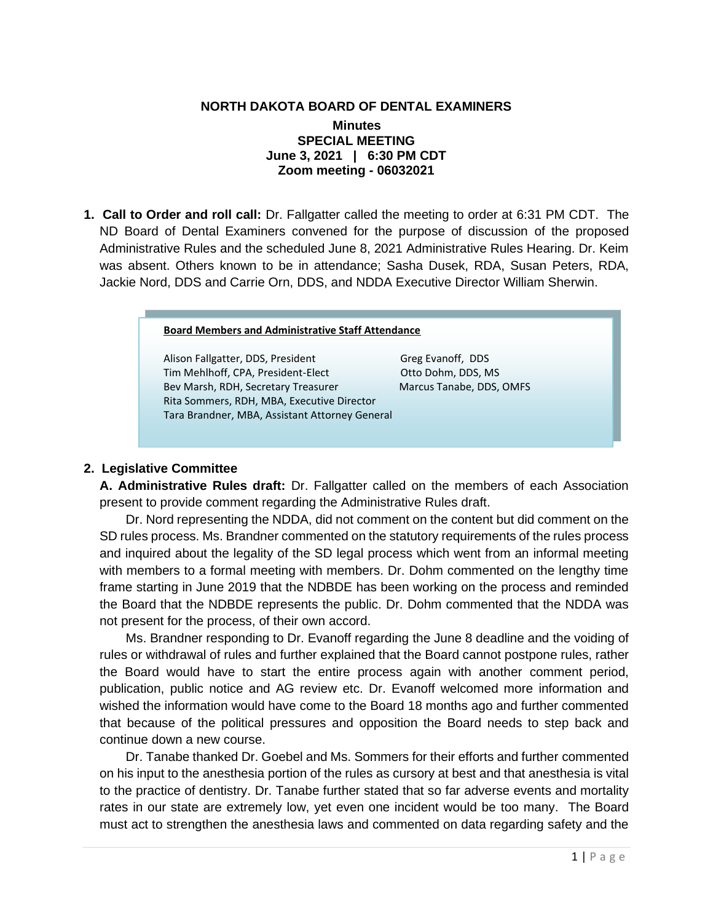## **NORTH DAKOTA BOARD OF DENTAL EXAMINERS**

## **Minutes SPECIAL MEETING June 3, 2021 | 6:30 PM CDT Zoom meeting - 06032021**

**1. Call to Order and roll call:** Dr. Fallgatter called the meeting to order at 6:31 PM CDT.The ND Board of Dental Examiners convened for the purpose of discussion of the proposed Administrative Rules and the scheduled June 8, 2021 Administrative Rules Hearing. Dr. Keim was absent. Others known to be in attendance; Sasha Dusek, RDA, Susan Peters, RDA, Jackie Nord, DDS and Carrie Orn, DDS, and NDDA Executive Director William Sherwin.

## **Board Members and Administrative Staff Attendance**

Alison Fallgatter, DDS, President Greg Evanoff, DDS Tim Mehlhoff, CPA, President-Elect **Otto Dohm, DDS, MS** Bev Marsh, RDH, Secretary Treasurer Marcus Tanabe, DDS, OMFS Rita Sommers, RDH, MBA, Executive Director Tara Brandner, MBA, Assistant Attorney General

## **2. Legislative Committee**

**A. Administrative Rules draft:** Dr. Fallgatter called on the members of each Association present to provide comment regarding the Administrative Rules draft.

Dr. Nord representing the NDDA, did not comment on the content but did comment on the SD rules process. Ms. Brandner commented on the statutory requirements of the rules process and inquired about the legality of the SD legal process which went from an informal meeting with members to a formal meeting with members. Dr. Dohm commented on the lengthy time frame starting in June 2019 that the NDBDE has been working on the process and reminded the Board that the NDBDE represents the public. Dr. Dohm commented that the NDDA was not present for the process, of their own accord.

Ms. Brandner responding to Dr. Evanoff regarding the June 8 deadline and the voiding of rules or withdrawal of rules and further explained that the Board cannot postpone rules, rather the Board would have to start the entire process again with another comment period, publication, public notice and AG review etc. Dr. Evanoff welcomed more information and wished the information would have come to the Board 18 months ago and further commented that because of the political pressures and opposition the Board needs to step back and continue down a new course.

Dr. Tanabe thanked Dr. Goebel and Ms. Sommers for their efforts and further commented on his input to the anesthesia portion of the rules as cursory at best and that anesthesia is vital to the practice of dentistry. Dr. Tanabe further stated that so far adverse events and mortality rates in our state are extremely low, yet even one incident would be too many. The Board must act to strengthen the anesthesia laws and commented on data regarding safety and the